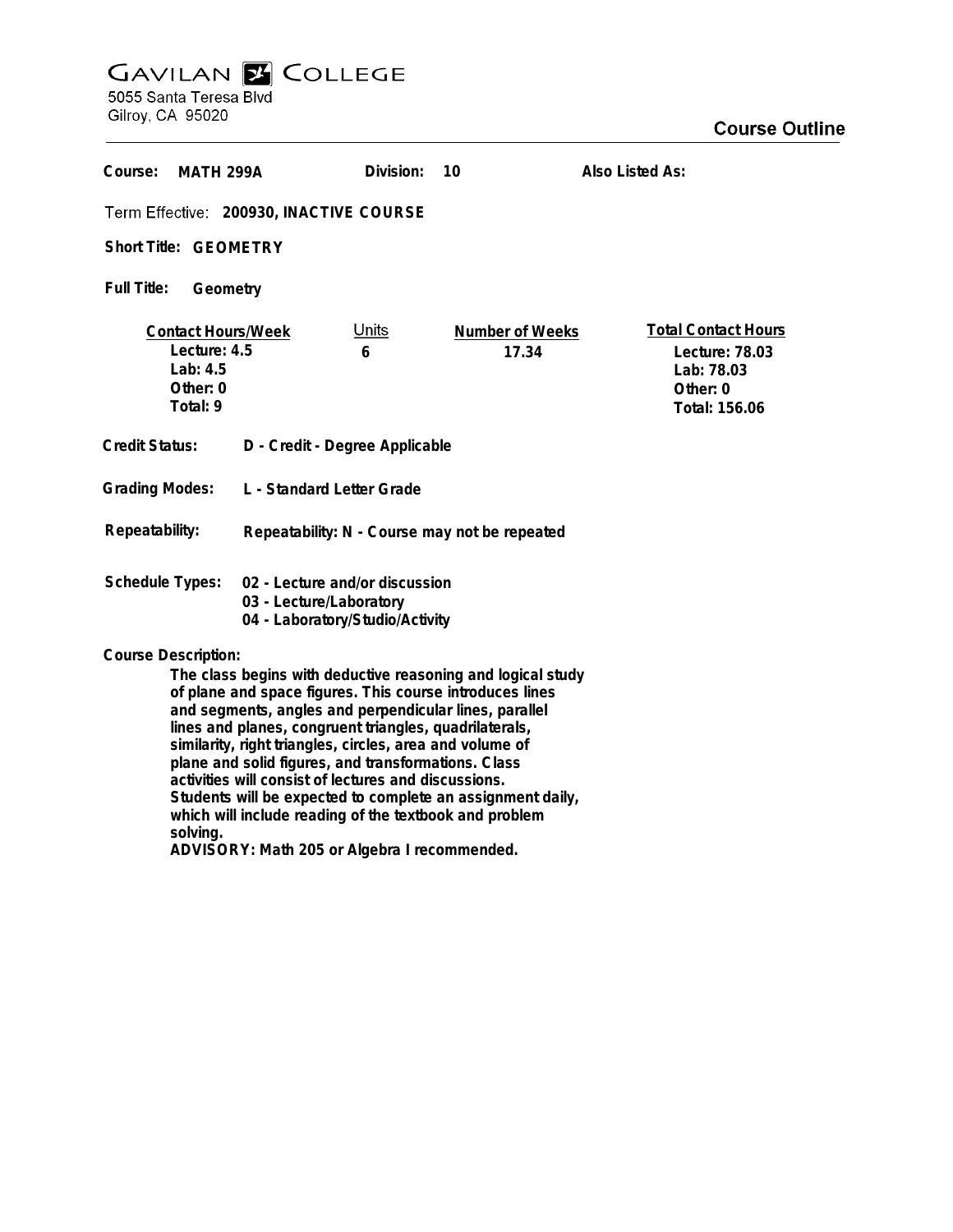## GAVILAN E COLLEGE<br>5055 Santa Teresa Blvd

Gilroy, CA 95020

| Course:<br>MATH 299A                                                                                                                                                                                                                                                                                                                                                                                                                                                                                                                           |  | Division:         | 10                       | Also Listed As:                                                                         |
|------------------------------------------------------------------------------------------------------------------------------------------------------------------------------------------------------------------------------------------------------------------------------------------------------------------------------------------------------------------------------------------------------------------------------------------------------------------------------------------------------------------------------------------------|--|-------------------|--------------------------|-----------------------------------------------------------------------------------------|
| Term Effective: 200930, INACTIVE COURSE                                                                                                                                                                                                                                                                                                                                                                                                                                                                                                        |  |                   |                          |                                                                                         |
| Short Title: GEOMETRY                                                                                                                                                                                                                                                                                                                                                                                                                                                                                                                          |  |                   |                          |                                                                                         |
| <b>Full Title:</b><br>Geometry                                                                                                                                                                                                                                                                                                                                                                                                                                                                                                                 |  |                   |                          |                                                                                         |
| <b>Contact Hours/Week</b><br>Lecture: 4.5<br>Lab: 4.5<br>Other: 0<br>Total: 9                                                                                                                                                                                                                                                                                                                                                                                                                                                                  |  | <u>Units</u><br>6 | Number of Weeks<br>17.34 | <b>Total Contact Hours</b><br>Lecture: 78.03<br>Lab: 78.03<br>Other: 0<br>Total: 156.06 |
| <b>Credit Status:</b><br>D - Credit - Degree Applicable                                                                                                                                                                                                                                                                                                                                                                                                                                                                                        |  |                   |                          |                                                                                         |
| <b>Grading Modes:</b><br>L - Standard Letter Grade                                                                                                                                                                                                                                                                                                                                                                                                                                                                                             |  |                   |                          |                                                                                         |
| Repeatability:<br>Repeatability: N - Course may not be repeated                                                                                                                                                                                                                                                                                                                                                                                                                                                                                |  |                   |                          |                                                                                         |
| <b>Schedule Types:</b><br>02 - Lecture and/or discussion<br>03 - Lecture/Laboratory<br>04 - Laboratory/Studio/Activity                                                                                                                                                                                                                                                                                                                                                                                                                         |  |                   |                          |                                                                                         |
| <b>Course Description:</b>                                                                                                                                                                                                                                                                                                                                                                                                                                                                                                                     |  |                   |                          |                                                                                         |
| The class begins with deductive reasoning and logical study<br>of plane and space figures. This course introduces lines<br>and segments, angles and perpendicular lines, parallel<br>lines and planes, congruent triangles, quadrilaterals,<br>similarity, right triangles, circles, area and volume of<br>plane and solid figures, and transformations. Class<br>activities will consist of lectures and discussions.<br>Students will be expected to complete an assignment daily,<br>which will include reading of the textbook and problem |  |                   |                          |                                                                                         |

**solving.**

**ADVISORY: Math 205 or Algebra I recommended.**